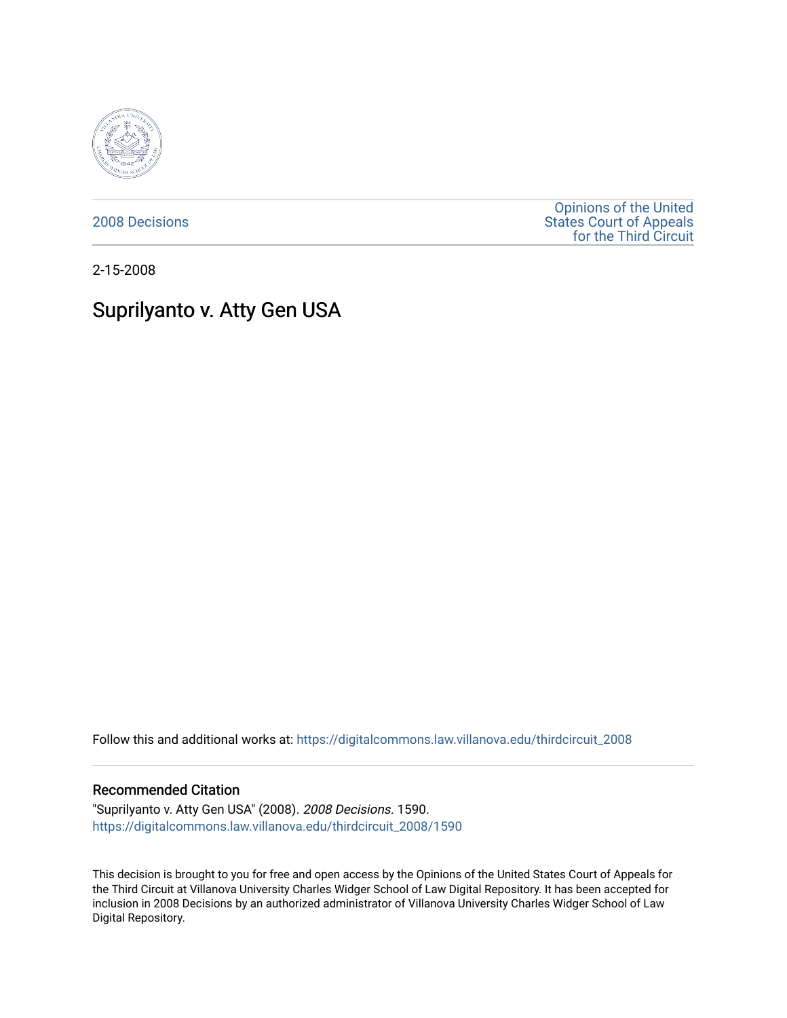

[2008 Decisions](https://digitalcommons.law.villanova.edu/thirdcircuit_2008)

[Opinions of the United](https://digitalcommons.law.villanova.edu/thirdcircuit)  [States Court of Appeals](https://digitalcommons.law.villanova.edu/thirdcircuit)  [for the Third Circuit](https://digitalcommons.law.villanova.edu/thirdcircuit) 

2-15-2008

# Suprilyanto v. Atty Gen USA

Follow this and additional works at: [https://digitalcommons.law.villanova.edu/thirdcircuit\\_2008](https://digitalcommons.law.villanova.edu/thirdcircuit_2008?utm_source=digitalcommons.law.villanova.edu%2Fthirdcircuit_2008%2F1590&utm_medium=PDF&utm_campaign=PDFCoverPages) 

#### Recommended Citation

"Suprilyanto v. Atty Gen USA" (2008). 2008 Decisions. 1590. [https://digitalcommons.law.villanova.edu/thirdcircuit\\_2008/1590](https://digitalcommons.law.villanova.edu/thirdcircuit_2008/1590?utm_source=digitalcommons.law.villanova.edu%2Fthirdcircuit_2008%2F1590&utm_medium=PDF&utm_campaign=PDFCoverPages) 

This decision is brought to you for free and open access by the Opinions of the United States Court of Appeals for the Third Circuit at Villanova University Charles Widger School of Law Digital Repository. It has been accepted for inclusion in 2008 Decisions by an authorized administrator of Villanova University Charles Widger School of Law Digital Repository.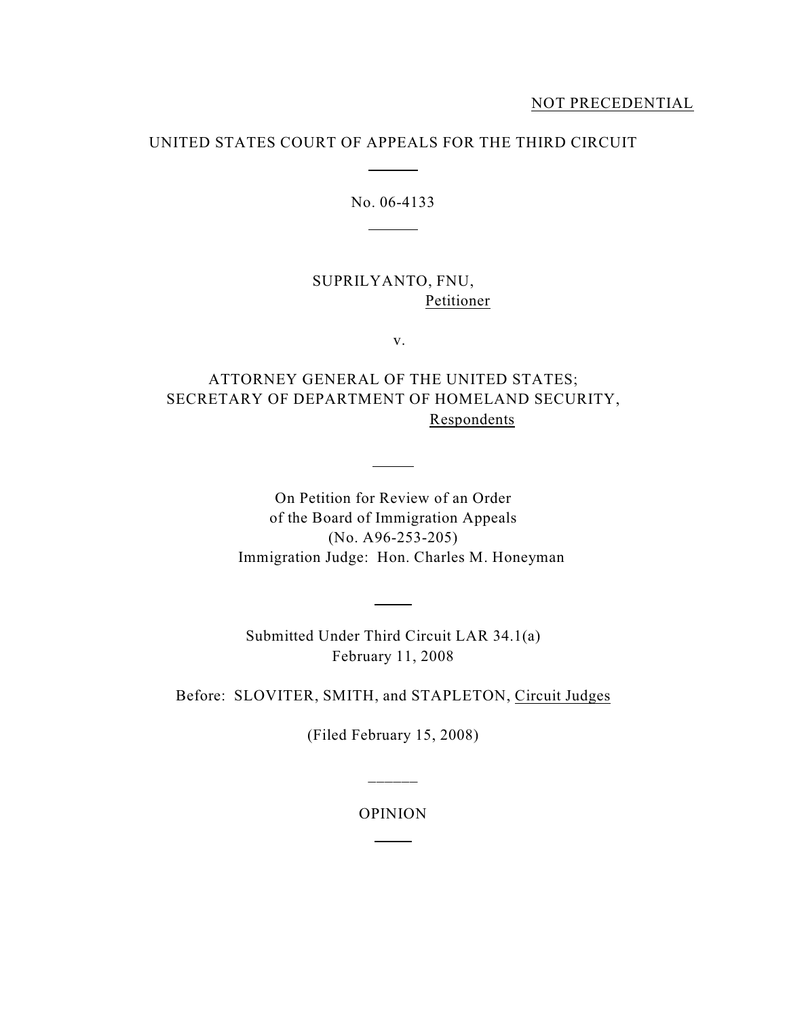## UNITED STATES COURT OF APPEALS FOR THE THIRD CIRCUIT

 $\overline{a}$ 

 $\overline{a}$ 

## No. 06-4133

## SUPRILYANTO, FNU, Petitioner

v.

## ATTORNEY GENERAL OF THE UNITED STATES; SECRETARY OF DEPARTMENT OF HOMELAND SECURITY, Respondents

 $\overline{a}$ 

On Petition for Review of an Order of the Board of Immigration Appeals (No. A96-253-205) Immigration Judge: Hon. Charles M. Honeyman

Submitted Under Third Circuit LAR 34.1(a) February 11, 2008

 $\overline{a}$ 

Before: SLOVITER, SMITH, and STAPLETON, Circuit Judges

(Filed February 15, 2008)

OPINION

l

 $\overline{\phantom{a}}$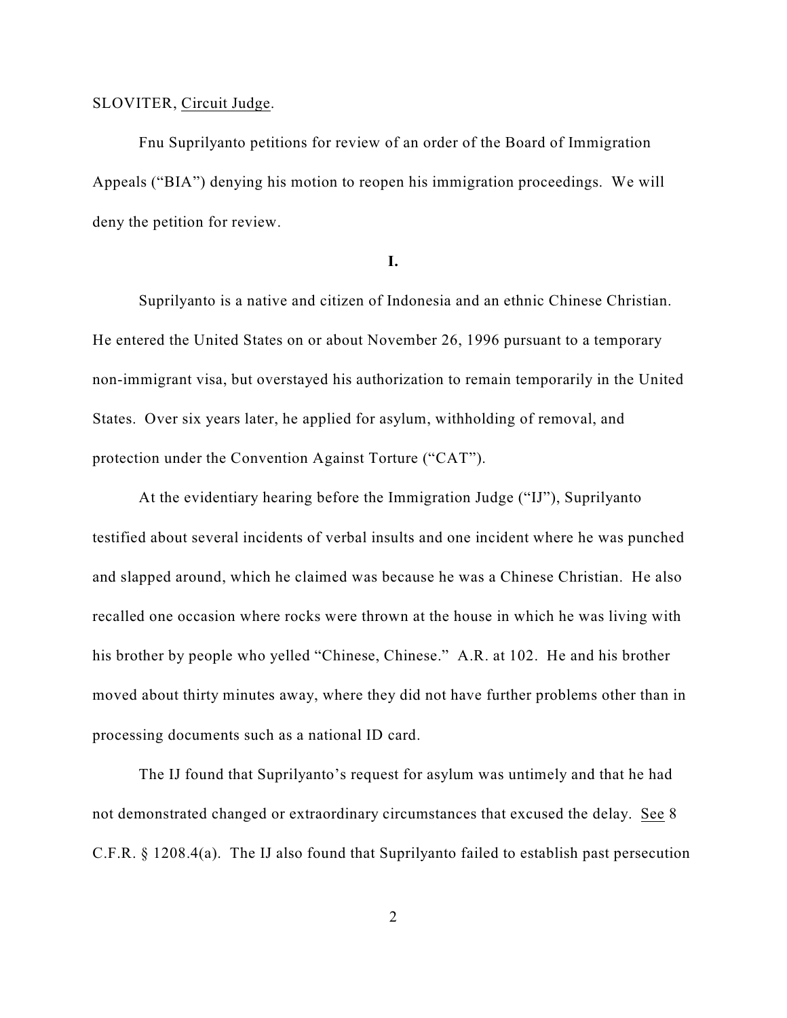#### SLOVITER, Circuit Judge.

Fnu Suprilyanto petitions for review of an order of the Board of Immigration Appeals ("BIA") denying his motion to reopen his immigration proceedings. We will deny the petition for review.

**I.**

Suprilyanto is a native and citizen of Indonesia and an ethnic Chinese Christian. He entered the United States on or about November 26, 1996 pursuant to a temporary non-immigrant visa, but overstayed his authorization to remain temporarily in the United States. Over six years later, he applied for asylum, withholding of removal, and protection under the Convention Against Torture ("CAT").

At the evidentiary hearing before the Immigration Judge ("IJ"), Suprilyanto testified about several incidents of verbal insults and one incident where he was punched and slapped around, which he claimed was because he was a Chinese Christian. He also recalled one occasion where rocks were thrown at the house in which he was living with his brother by people who yelled "Chinese, Chinese." A.R. at 102. He and his brother moved about thirty minutes away, where they did not have further problems other than in processing documents such as a national ID card.

The IJ found that Suprilyanto's request for asylum was untimely and that he had not demonstrated changed or extraordinary circumstances that excused the delay. See 8 C.F.R. § 1208.4(a). The IJ also found that Suprilyanto failed to establish past persecution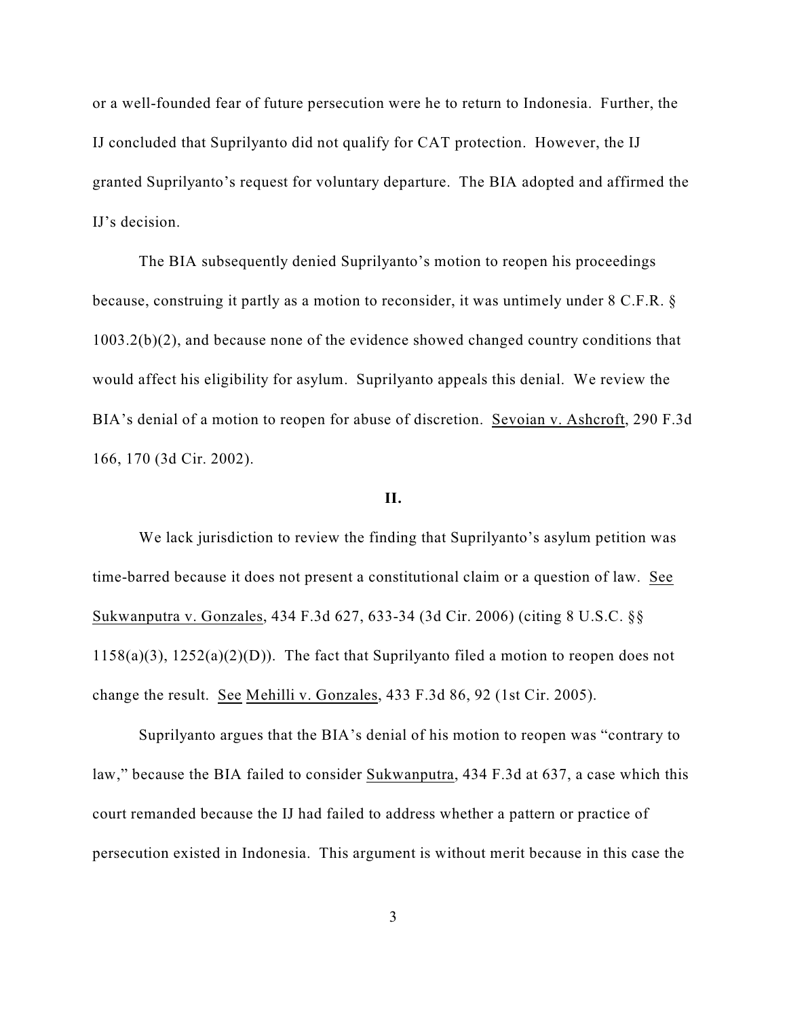or a well-founded fear of future persecution were he to return to Indonesia. Further, the IJ concluded that Suprilyanto did not qualify for CAT protection. However, the IJ granted Suprilyanto's request for voluntary departure. The BIA adopted and affirmed the IJ's decision.

The BIA subsequently denied Suprilyanto's motion to reopen his proceedings because, construing it partly as a motion to reconsider, it was untimely under 8 C.F.R. § 1003.2(b)(2), and because none of the evidence showed changed country conditions that would affect his eligibility for asylum. Suprilyanto appeals this denial. We review the BIA's denial of a motion to reopen for abuse of discretion. Sevoian v. Ashcroft, 290 F.3d 166, 170 (3d Cir. 2002).

## **II.**

We lack jurisdiction to review the finding that Suprilyanto's asylum petition was time-barred because it does not present a constitutional claim or a question of law. See Sukwanputra v. Gonzales, 434 F.3d 627, 633-34 (3d Cir. 2006) (citing 8 U.S.C. §§  $1158(a)(3)$ ,  $1252(a)(2)(D)$ ). The fact that Suprilyanto filed a motion to reopen does not change the result. See Mehilli v. Gonzales, 433 F.3d 86, 92 (1st Cir. 2005).

Suprilyanto argues that the BIA's denial of his motion to reopen was "contrary to law," because the BIA failed to consider Sukwanputra, 434 F.3d at 637, a case which this court remanded because the IJ had failed to address whether a pattern or practice of persecution existed in Indonesia. This argument is without merit because in this case the

3